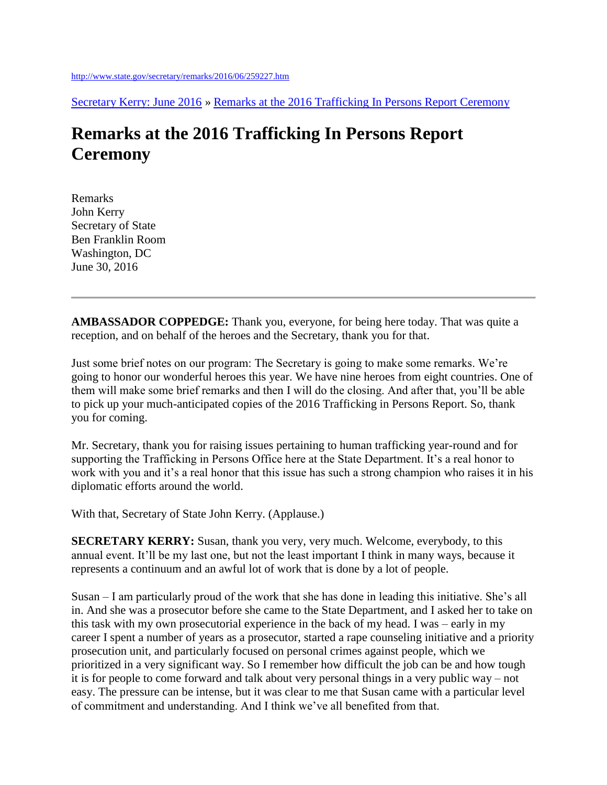[Secretary Kerry: June 2016](http://www.state.gov/secretary/remarks/2016/06/index.htm) » [Remarks at the 2016 Trafficking In Persons Report Ceremony](http://www.state.gov/secretary/remarks/2016/06/259227.htm)

## **Remarks at the 2016 Trafficking In Persons Report Ceremony**

Remarks John Kerry Secretary of State Ben Franklin Room Washington, DC June 30, 2016

**AMBASSADOR COPPEDGE:** Thank you, everyone, for being here today. That was quite a reception, and on behalf of the heroes and the Secretary, thank you for that.

Just some brief notes on our program: The Secretary is going to make some remarks. We're going to honor our wonderful heroes this year. We have nine heroes from eight countries. One of them will make some brief remarks and then I will do the closing. And after that, you'll be able to pick up your much-anticipated copies of the 2016 Trafficking in Persons Report. So, thank you for coming.

Mr. Secretary, thank you for raising issues pertaining to human trafficking year-round and for supporting the Trafficking in Persons Office here at the State Department. It's a real honor to work with you and it's a real honor that this issue has such a strong champion who raises it in his diplomatic efforts around the world.

With that, Secretary of State John Kerry. (Applause.)

**SECRETARY KERRY:** Susan, thank you very, very much. Welcome, everybody, to this annual event. It'll be my last one, but not the least important I think in many ways, because it represents a continuum and an awful lot of work that is done by a lot of people.

Susan – I am particularly proud of the work that she has done in leading this initiative. She's all in. And she was a prosecutor before she came to the State Department, and I asked her to take on this task with my own prosecutorial experience in the back of my head. I was – early in my career I spent a number of years as a prosecutor, started a rape counseling initiative and a priority prosecution unit, and particularly focused on personal crimes against people, which we prioritized in a very significant way. So I remember how difficult the job can be and how tough it is for people to come forward and talk about very personal things in a very public way – not easy. The pressure can be intense, but it was clear to me that Susan came with a particular level of commitment and understanding. And I think we've all benefited from that.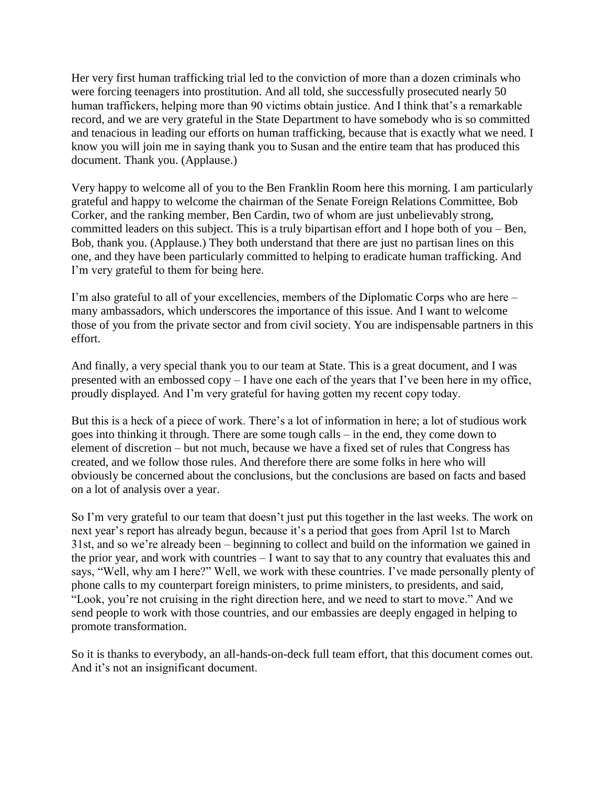Her very first human trafficking trial led to the conviction of more than a dozen criminals who were forcing teenagers into prostitution. And all told, she successfully prosecuted nearly 50 human traffickers, helping more than 90 victims obtain justice. And I think that's a remarkable record, and we are very grateful in the State Department to have somebody who is so committed and tenacious in leading our efforts on human trafficking, because that is exactly what we need. I know you will join me in saying thank you to Susan and the entire team that has produced this document. Thank you. (Applause.)

Very happy to welcome all of you to the Ben Franklin Room here this morning. I am particularly grateful and happy to welcome the chairman of the Senate Foreign Relations Committee, Bob Corker, and the ranking member, Ben Cardin, two of whom are just unbelievably strong, committed leaders on this subject. This is a truly bipartisan effort and I hope both of you – Ben, Bob, thank you. (Applause.) They both understand that there are just no partisan lines on this one, and they have been particularly committed to helping to eradicate human trafficking. And I'm very grateful to them for being here.

I'm also grateful to all of your excellencies, members of the Diplomatic Corps who are here – many ambassadors, which underscores the importance of this issue. And I want to welcome those of you from the private sector and from civil society. You are indispensable partners in this effort.

And finally, a very special thank you to our team at State. This is a great document, and I was presented with an embossed copy – I have one each of the years that I've been here in my office, proudly displayed. And I'm very grateful for having gotten my recent copy today.

But this is a heck of a piece of work. There's a lot of information in here; a lot of studious work goes into thinking it through. There are some tough calls – in the end, they come down to element of discretion – but not much, because we have a fixed set of rules that Congress has created, and we follow those rules. And therefore there are some folks in here who will obviously be concerned about the conclusions, but the conclusions are based on facts and based on a lot of analysis over a year.

So I'm very grateful to our team that doesn't just put this together in the last weeks. The work on next year's report has already begun, because it's a period that goes from April 1st to March 31st, and so we're already been – beginning to collect and build on the information we gained in the prior year, and work with countries – I want to say that to any country that evaluates this and says, "Well, why am I here?" Well, we work with these countries. I've made personally plenty of phone calls to my counterpart foreign ministers, to prime ministers, to presidents, and said, "Look, you're not cruising in the right direction here, and we need to start to move." And we send people to work with those countries, and our embassies are deeply engaged in helping to promote transformation.

So it is thanks to everybody, an all-hands-on-deck full team effort, that this document comes out. And it's not an insignificant document.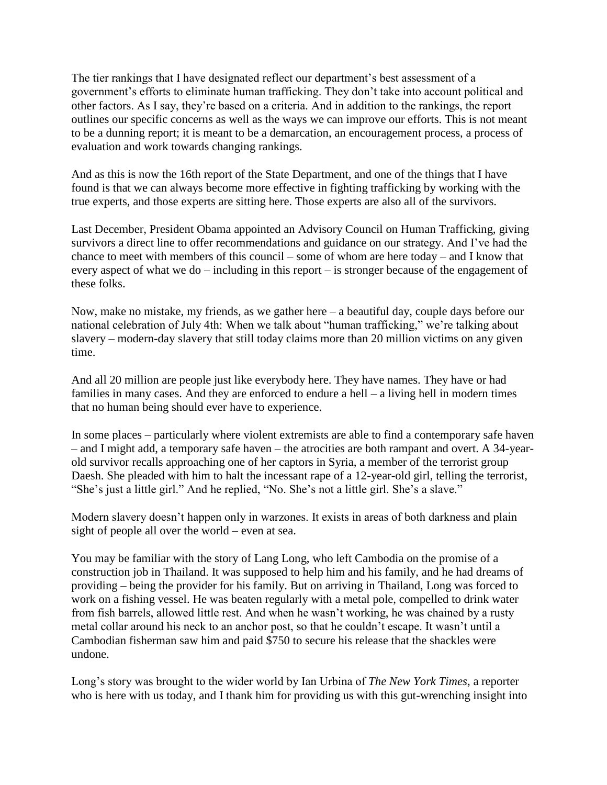The tier rankings that I have designated reflect our department's best assessment of a government's efforts to eliminate human trafficking. They don't take into account political and other factors. As I say, they're based on a criteria. And in addition to the rankings, the report outlines our specific concerns as well as the ways we can improve our efforts. This is not meant to be a dunning report; it is meant to be a demarcation, an encouragement process, a process of evaluation and work towards changing rankings.

And as this is now the 16th report of the State Department, and one of the things that I have found is that we can always become more effective in fighting trafficking by working with the true experts, and those experts are sitting here. Those experts are also all of the survivors.

Last December, President Obama appointed an Advisory Council on Human Trafficking, giving survivors a direct line to offer recommendations and guidance on our strategy. And I've had the chance to meet with members of this council – some of whom are here today – and I know that every aspect of what we do – including in this report – is stronger because of the engagement of these folks.

Now, make no mistake, my friends, as we gather here  $-$  a beautiful day, couple days before our national celebration of July 4th: When we talk about "human trafficking," we're talking about slavery – modern-day slavery that still today claims more than 20 million victims on any given time.

And all 20 million are people just like everybody here. They have names. They have or had families in many cases. And they are enforced to endure a hell – a living hell in modern times that no human being should ever have to experience.

In some places – particularly where violent extremists are able to find a contemporary safe haven – and I might add, a temporary safe haven – the atrocities are both rampant and overt. A 34-yearold survivor recalls approaching one of her captors in Syria, a member of the terrorist group Daesh. She pleaded with him to halt the incessant rape of a 12-year-old girl, telling the terrorist, "She's just a little girl." And he replied, "No. She's not a little girl. She's a slave."

Modern slavery doesn't happen only in warzones. It exists in areas of both darkness and plain sight of people all over the world – even at sea.

You may be familiar with the story of Lang Long, who left Cambodia on the promise of a construction job in Thailand. It was supposed to help him and his family, and he had dreams of providing – being the provider for his family. But on arriving in Thailand, Long was forced to work on a fishing vessel. He was beaten regularly with a metal pole, compelled to drink water from fish barrels, allowed little rest. And when he wasn't working, he was chained by a rusty metal collar around his neck to an anchor post, so that he couldn't escape. It wasn't until a Cambodian fisherman saw him and paid \$750 to secure his release that the shackles were undone.

Long's story was brought to the wider world by Ian Urbina of *The New York Times*, a reporter who is here with us today, and I thank him for providing us with this gut-wrenching insight into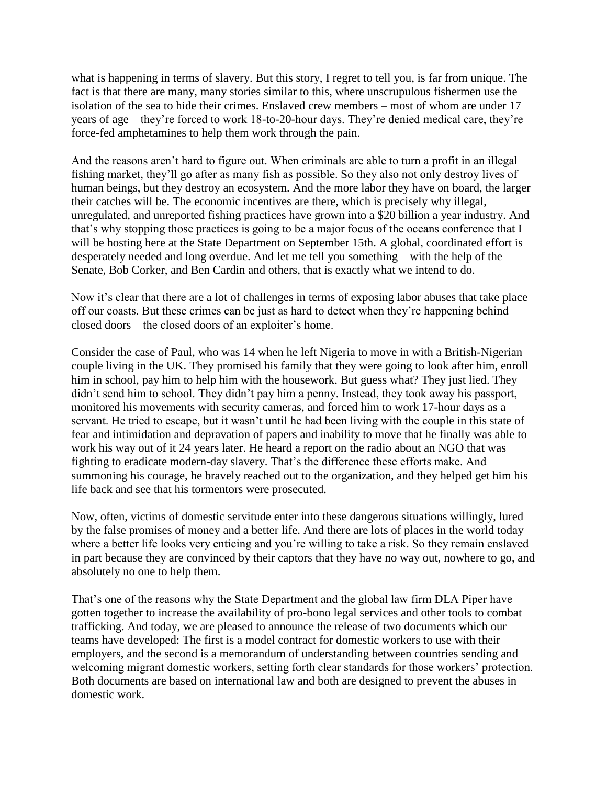what is happening in terms of slavery. But this story, I regret to tell you, is far from unique. The fact is that there are many, many stories similar to this, where unscrupulous fishermen use the isolation of the sea to hide their crimes. Enslaved crew members – most of whom are under 17 years of age – they're forced to work 18-to-20-hour days. They're denied medical care, they're force-fed amphetamines to help them work through the pain.

And the reasons aren't hard to figure out. When criminals are able to turn a profit in an illegal fishing market, they'll go after as many fish as possible. So they also not only destroy lives of human beings, but they destroy an ecosystem. And the more labor they have on board, the larger their catches will be. The economic incentives are there, which is precisely why illegal, unregulated, and unreported fishing practices have grown into a \$20 billion a year industry. And that's why stopping those practices is going to be a major focus of the oceans conference that I will be hosting here at the State Department on September 15th. A global, coordinated effort is desperately needed and long overdue. And let me tell you something – with the help of the Senate, Bob Corker, and Ben Cardin and others, that is exactly what we intend to do.

Now it's clear that there are a lot of challenges in terms of exposing labor abuses that take place off our coasts. But these crimes can be just as hard to detect when they're happening behind closed doors – the closed doors of an exploiter's home.

Consider the case of Paul, who was 14 when he left Nigeria to move in with a British-Nigerian couple living in the UK. They promised his family that they were going to look after him, enroll him in school, pay him to help him with the housework. But guess what? They just lied. They didn't send him to school. They didn't pay him a penny. Instead, they took away his passport, monitored his movements with security cameras, and forced him to work 17-hour days as a servant. He tried to escape, but it wasn't until he had been living with the couple in this state of fear and intimidation and depravation of papers and inability to move that he finally was able to work his way out of it 24 years later. He heard a report on the radio about an NGO that was fighting to eradicate modern-day slavery. That's the difference these efforts make. And summoning his courage, he bravely reached out to the organization, and they helped get him his life back and see that his tormentors were prosecuted.

Now, often, victims of domestic servitude enter into these dangerous situations willingly, lured by the false promises of money and a better life. And there are lots of places in the world today where a better life looks very enticing and you're willing to take a risk. So they remain enslaved in part because they are convinced by their captors that they have no way out, nowhere to go, and absolutely no one to help them.

That's one of the reasons why the State Department and the global law firm DLA Piper have gotten together to increase the availability of pro-bono legal services and other tools to combat trafficking. And today, we are pleased to announce the release of two documents which our teams have developed: The first is a model contract for domestic workers to use with their employers, and the second is a memorandum of understanding between countries sending and welcoming migrant domestic workers, setting forth clear standards for those workers' protection. Both documents are based on international law and both are designed to prevent the abuses in domestic work.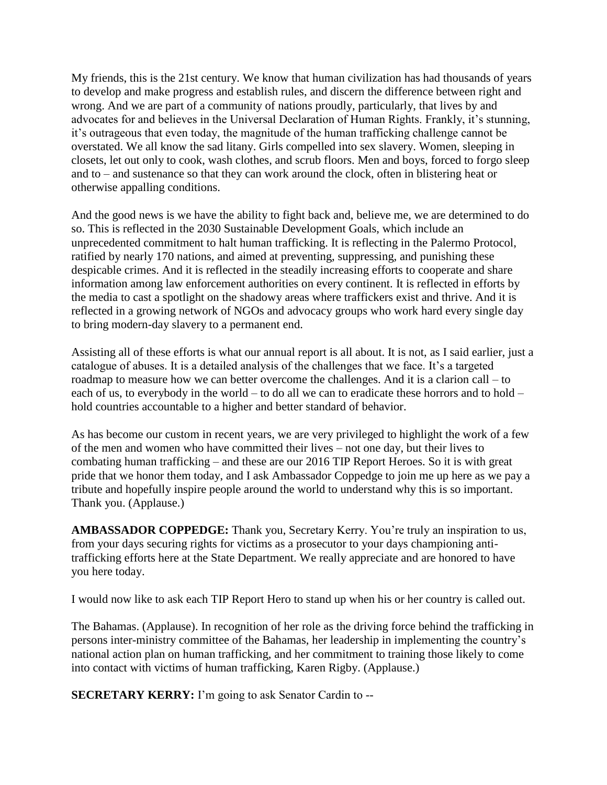My friends, this is the 21st century. We know that human civilization has had thousands of years to develop and make progress and establish rules, and discern the difference between right and wrong. And we are part of a community of nations proudly, particularly, that lives by and advocates for and believes in the Universal Declaration of Human Rights. Frankly, it's stunning, it's outrageous that even today, the magnitude of the human trafficking challenge cannot be overstated. We all know the sad litany. Girls compelled into sex slavery. Women, sleeping in closets, let out only to cook, wash clothes, and scrub floors. Men and boys, forced to forgo sleep and to – and sustenance so that they can work around the clock, often in blistering heat or otherwise appalling conditions.

And the good news is we have the ability to fight back and, believe me, we are determined to do so. This is reflected in the 2030 Sustainable Development Goals, which include an unprecedented commitment to halt human trafficking. It is reflecting in the Palermo Protocol, ratified by nearly 170 nations, and aimed at preventing, suppressing, and punishing these despicable crimes. And it is reflected in the steadily increasing efforts to cooperate and share information among law enforcement authorities on every continent. It is reflected in efforts by the media to cast a spotlight on the shadowy areas where traffickers exist and thrive. And it is reflected in a growing network of NGOs and advocacy groups who work hard every single day to bring modern-day slavery to a permanent end.

Assisting all of these efforts is what our annual report is all about. It is not, as I said earlier, just a catalogue of abuses. It is a detailed analysis of the challenges that we face. It's a targeted roadmap to measure how we can better overcome the challenges. And it is a clarion call – to each of us, to everybody in the world – to do all we can to eradicate these horrors and to hold – hold countries accountable to a higher and better standard of behavior.

As has become our custom in recent years, we are very privileged to highlight the work of a few of the men and women who have committed their lives – not one day, but their lives to combating human trafficking – and these are our 2016 TIP Report Heroes. So it is with great pride that we honor them today, and I ask Ambassador Coppedge to join me up here as we pay a tribute and hopefully inspire people around the world to understand why this is so important. Thank you. (Applause.)

**AMBASSADOR COPPEDGE:** Thank you, Secretary Kerry. You're truly an inspiration to us, from your days securing rights for victims as a prosecutor to your days championing antitrafficking efforts here at the State Department. We really appreciate and are honored to have you here today.

I would now like to ask each TIP Report Hero to stand up when his or her country is called out.

The Bahamas. (Applause). In recognition of her role as the driving force behind the trafficking in persons inter-ministry committee of the Bahamas, her leadership in implementing the country's national action plan on human trafficking, and her commitment to training those likely to come into contact with victims of human trafficking, Karen Rigby. (Applause.)

**SECRETARY KERRY:** I'm going to ask Senator Cardin to --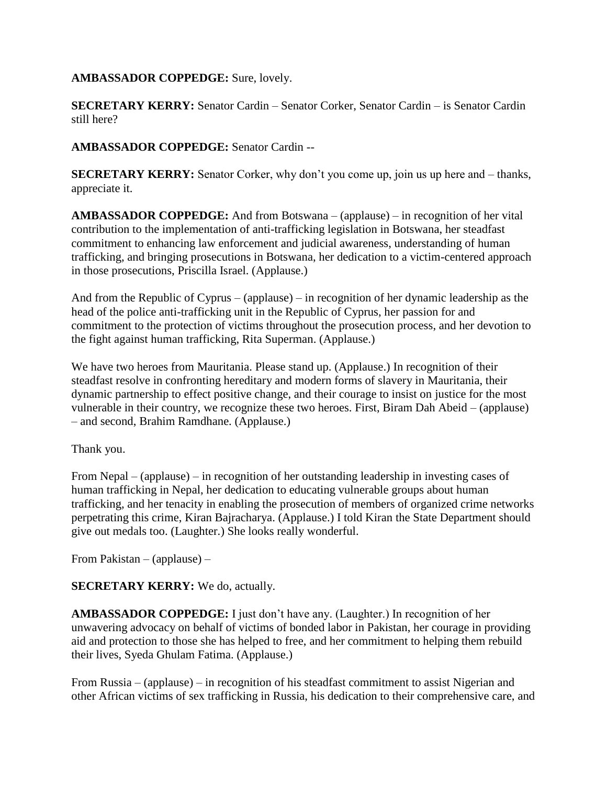**AMBASSADOR COPPEDGE:** Sure, lovely.

**SECRETARY KERRY:** Senator Cardin – Senator Corker, Senator Cardin – is Senator Cardin still here?

**AMBASSADOR COPPEDGE:** Senator Cardin --

**SECRETARY KERRY:** Senator Corker, why don't you come up, join us up here and – thanks, appreciate it.

**AMBASSADOR COPPEDGE:** And from Botswana – (applause) – in recognition of her vital contribution to the implementation of anti-trafficking legislation in Botswana, her steadfast commitment to enhancing law enforcement and judicial awareness, understanding of human trafficking, and bringing prosecutions in Botswana, her dedication to a victim-centered approach in those prosecutions, Priscilla Israel. (Applause.)

And from the Republic of Cyprus – (applause) – in recognition of her dynamic leadership as the head of the police anti-trafficking unit in the Republic of Cyprus, her passion for and commitment to the protection of victims throughout the prosecution process, and her devotion to the fight against human trafficking, Rita Superman. (Applause.)

We have two heroes from Mauritania. Please stand up. (Applause.) In recognition of their steadfast resolve in confronting hereditary and modern forms of slavery in Mauritania, their dynamic partnership to effect positive change, and their courage to insist on justice for the most vulnerable in their country, we recognize these two heroes. First, Biram Dah Abeid – (applause) – and second, Brahim Ramdhane. (Applause.)

Thank you.

From Nepal – (applause) – in recognition of her outstanding leadership in investing cases of human trafficking in Nepal, her dedication to educating vulnerable groups about human trafficking, and her tenacity in enabling the prosecution of members of organized crime networks perpetrating this crime, Kiran Bajracharya. (Applause.) I told Kiran the State Department should give out medals too. (Laughter.) She looks really wonderful.

From Pakistan – (applause) –

## **SECRETARY KERRY:** We do, actually.

**AMBASSADOR COPPEDGE:** I just don't have any. (Laughter.) In recognition of her unwavering advocacy on behalf of victims of bonded labor in Pakistan, her courage in providing aid and protection to those she has helped to free, and her commitment to helping them rebuild their lives, Syeda Ghulam Fatima. (Applause.)

From Russia – (applause) – in recognition of his steadfast commitment to assist Nigerian and other African victims of sex trafficking in Russia, his dedication to their comprehensive care, and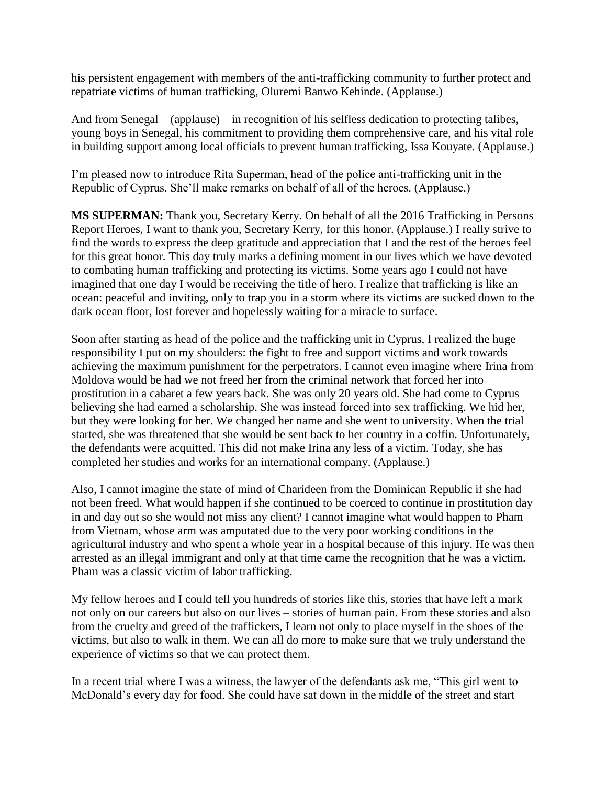his persistent engagement with members of the anti-trafficking community to further protect and repatriate victims of human trafficking, Oluremi Banwo Kehinde. (Applause.)

And from Senegal – (applause) – in recognition of his selfless dedication to protecting talibes, young boys in Senegal, his commitment to providing them comprehensive care, and his vital role in building support among local officials to prevent human trafficking, Issa Kouyate. (Applause.)

I'm pleased now to introduce Rita Superman, head of the police anti-trafficking unit in the Republic of Cyprus. She'll make remarks on behalf of all of the heroes. (Applause.)

**MS SUPERMAN:** Thank you, Secretary Kerry. On behalf of all the 2016 Trafficking in Persons Report Heroes, I want to thank you, Secretary Kerry, for this honor. (Applause.) I really strive to find the words to express the deep gratitude and appreciation that I and the rest of the heroes feel for this great honor. This day truly marks a defining moment in our lives which we have devoted to combating human trafficking and protecting its victims. Some years ago I could not have imagined that one day I would be receiving the title of hero. I realize that trafficking is like an ocean: peaceful and inviting, only to trap you in a storm where its victims are sucked down to the dark ocean floor, lost forever and hopelessly waiting for a miracle to surface.

Soon after starting as head of the police and the trafficking unit in Cyprus, I realized the huge responsibility I put on my shoulders: the fight to free and support victims and work towards achieving the maximum punishment for the perpetrators. I cannot even imagine where Irina from Moldova would be had we not freed her from the criminal network that forced her into prostitution in a cabaret a few years back. She was only 20 years old. She had come to Cyprus believing she had earned a scholarship. She was instead forced into sex trafficking. We hid her, but they were looking for her. We changed her name and she went to university. When the trial started, she was threatened that she would be sent back to her country in a coffin. Unfortunately, the defendants were acquitted. This did not make Irina any less of a victim. Today, she has completed her studies and works for an international company. (Applause.)

Also, I cannot imagine the state of mind of Charideen from the Dominican Republic if she had not been freed. What would happen if she continued to be coerced to continue in prostitution day in and day out so she would not miss any client? I cannot imagine what would happen to Pham from Vietnam, whose arm was amputated due to the very poor working conditions in the agricultural industry and who spent a whole year in a hospital because of this injury. He was then arrested as an illegal immigrant and only at that time came the recognition that he was a victim. Pham was a classic victim of labor trafficking.

My fellow heroes and I could tell you hundreds of stories like this, stories that have left a mark not only on our careers but also on our lives – stories of human pain. From these stories and also from the cruelty and greed of the traffickers, I learn not only to place myself in the shoes of the victims, but also to walk in them. We can all do more to make sure that we truly understand the experience of victims so that we can protect them.

In a recent trial where I was a witness, the lawyer of the defendants ask me, "This girl went to McDonald's every day for food. She could have sat down in the middle of the street and start